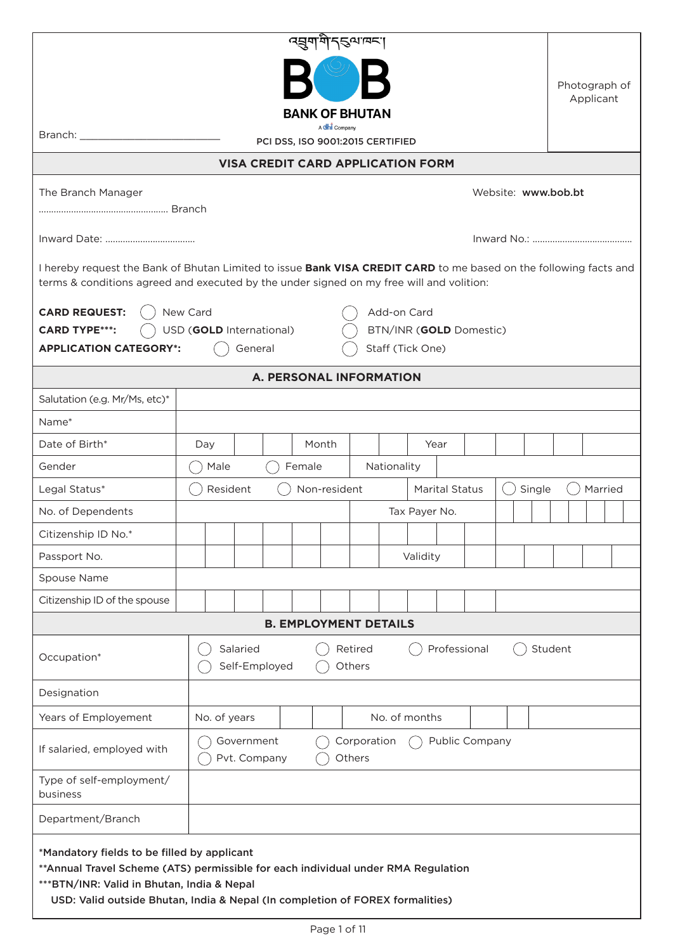|                                                                                                                                                                                                                                                                  |                          |                                                                       | त्सुगमे  त्याप्त             |                   |                         |                       |  |  |         |  |               |
|------------------------------------------------------------------------------------------------------------------------------------------------------------------------------------------------------------------------------------------------------------------|--------------------------|-----------------------------------------------------------------------|------------------------------|-------------------|-------------------------|-----------------------|--|--|---------|--|---------------|
|                                                                                                                                                                                                                                                                  |                          |                                                                       |                              |                   |                         |                       |  |  |         |  | Photograph of |
|                                                                                                                                                                                                                                                                  |                          |                                                                       | <b>BANK OF BHUTAN</b>        |                   |                         |                       |  |  |         |  | Applicant     |
|                                                                                                                                                                                                                                                                  |                          |                                                                       |                              |                   |                         |                       |  |  |         |  |               |
| PCI DSS, ISO 9001:2015 CERTIFIED                                                                                                                                                                                                                                 |                          |                                                                       |                              |                   |                         |                       |  |  |         |  |               |
| <b>VISA CREDIT CARD APPLICATION FORM</b>                                                                                                                                                                                                                         |                          |                                                                       |                              |                   |                         |                       |  |  |         |  |               |
| Website: www.bob.bt<br>The Branch Manager                                                                                                                                                                                                                        |                          |                                                                       |                              |                   |                         |                       |  |  |         |  |               |
|                                                                                                                                                                                                                                                                  |                          |                                                                       |                              |                   |                         |                       |  |  |         |  |               |
| I hereby request the Bank of Bhutan Limited to issue Bank VISA CREDIT CARD to me based on the following facts and<br>terms & conditions agreed and executed by the under signed on my free will and volition:                                                    |                          |                                                                       |                              |                   |                         |                       |  |  |         |  |               |
| <b>CARD REQUEST:</b>                                                                                                                                                                                                                                             | New Card                 |                                                                       |                              |                   | Add-on Card             |                       |  |  |         |  |               |
| <b>CARD TYPE***:</b>                                                                                                                                                                                                                                             | USD (GOLD International) |                                                                       |                              |                   | BTN/INR (GOLD Domestic) |                       |  |  |         |  |               |
| <b>APPLICATION CATEGORY*:</b>                                                                                                                                                                                                                                    |                          | General                                                               |                              |                   | Staff (Tick One)        |                       |  |  |         |  |               |
|                                                                                                                                                                                                                                                                  |                          | <b>A. PERSONAL INFORMATION</b>                                        |                              |                   |                         |                       |  |  |         |  |               |
| Salutation (e.g. Mr/Ms, etc)*                                                                                                                                                                                                                                    |                          |                                                                       |                              |                   |                         |                       |  |  |         |  |               |
| Name*                                                                                                                                                                                                                                                            |                          |                                                                       |                              |                   |                         |                       |  |  |         |  |               |
| Date of Birth*                                                                                                                                                                                                                                                   | Day                      | Month<br>Year                                                         |                              |                   |                         |                       |  |  |         |  |               |
| Gender                                                                                                                                                                                                                                                           | Male                     | Female                                                                |                              |                   | Nationality             |                       |  |  |         |  |               |
| Legal Status*                                                                                                                                                                                                                                                    | Resident                 |                                                                       | Non-resident                 |                   |                         | <b>Marital Status</b> |  |  | Single  |  | Married       |
| No. of Dependents                                                                                                                                                                                                                                                |                          |                                                                       |                              |                   | Tax Payer No.           |                       |  |  |         |  |               |
| Citizenship ID No.*                                                                                                                                                                                                                                              |                          |                                                                       |                              |                   |                         |                       |  |  |         |  |               |
| Passport No.                                                                                                                                                                                                                                                     |                          |                                                                       |                              |                   | Validity                |                       |  |  |         |  |               |
| Spouse Name                                                                                                                                                                                                                                                      |                          |                                                                       |                              |                   |                         |                       |  |  |         |  |               |
| Citizenship ID of the spouse                                                                                                                                                                                                                                     |                          |                                                                       |                              |                   |                         |                       |  |  |         |  |               |
|                                                                                                                                                                                                                                                                  |                          |                                                                       | <b>B. EMPLOYMENT DETAILS</b> |                   |                         |                       |  |  |         |  |               |
| Occupation*                                                                                                                                                                                                                                                      | Salaried                 | Self-Employed                                                         |                              | Retired<br>Others |                         | Professional          |  |  | Student |  |               |
| Designation                                                                                                                                                                                                                                                      |                          |                                                                       |                              |                   |                         |                       |  |  |         |  |               |
| Years of Employement                                                                                                                                                                                                                                             | No. of years             |                                                                       |                              |                   | No. of months           |                       |  |  |         |  |               |
| If salaried, employed with                                                                                                                                                                                                                                       |                          | Government<br>Public Company<br>Corporation<br>Pvt. Company<br>Others |                              |                   |                         |                       |  |  |         |  |               |
| Type of self-employment/<br>business                                                                                                                                                                                                                             |                          |                                                                       |                              |                   |                         |                       |  |  |         |  |               |
| Department/Branch                                                                                                                                                                                                                                                |                          |                                                                       |                              |                   |                         |                       |  |  |         |  |               |
| *Mandatory fields to be filled by applicant<br>**Annual Travel Scheme (ATS) permissible for each individual under RMA Regulation<br>*** BTN/INR: Valid in Bhutan, India & Nepal<br>USD: Valid outside Bhutan, India & Nepal (In completion of FOREX formalities) |                          |                                                                       |                              |                   |                         |                       |  |  |         |  |               |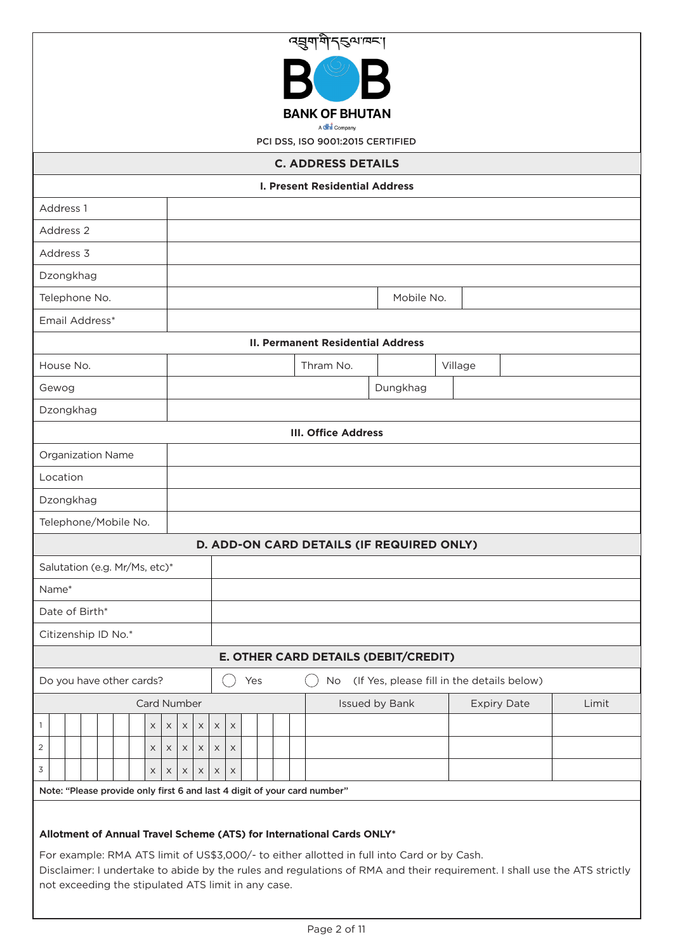| ব্রুমাণীব্হন্মান্দ।                                                                                                                                                                                                                                                                                                                                    |                                          |            |                                            |       |  |  |  |  |  |  |  |
|--------------------------------------------------------------------------------------------------------------------------------------------------------------------------------------------------------------------------------------------------------------------------------------------------------------------------------------------------------|------------------------------------------|------------|--------------------------------------------|-------|--|--|--|--|--|--|--|
|                                                                                                                                                                                                                                                                                                                                                        |                                          |            |                                            |       |  |  |  |  |  |  |  |
| <b>BANK OF BHUTAN</b><br>A dhi Company                                                                                                                                                                                                                                                                                                                 |                                          |            |                                            |       |  |  |  |  |  |  |  |
| PCI DSS, ISO 9001:2015 CERTIFIED                                                                                                                                                                                                                                                                                                                       |                                          |            |                                            |       |  |  |  |  |  |  |  |
| <b>C. ADDRESS DETAILS</b>                                                                                                                                                                                                                                                                                                                              |                                          |            |                                            |       |  |  |  |  |  |  |  |
| <b>I. Present Residential Address</b>                                                                                                                                                                                                                                                                                                                  |                                          |            |                                            |       |  |  |  |  |  |  |  |
| Address 1                                                                                                                                                                                                                                                                                                                                              |                                          |            |                                            |       |  |  |  |  |  |  |  |
| Address 2                                                                                                                                                                                                                                                                                                                                              |                                          |            |                                            |       |  |  |  |  |  |  |  |
| Address 3                                                                                                                                                                                                                                                                                                                                              |                                          |            |                                            |       |  |  |  |  |  |  |  |
| Dzongkhag                                                                                                                                                                                                                                                                                                                                              |                                          |            |                                            |       |  |  |  |  |  |  |  |
| Telephone No.                                                                                                                                                                                                                                                                                                                                          |                                          | Mobile No. |                                            |       |  |  |  |  |  |  |  |
| Email Address*                                                                                                                                                                                                                                                                                                                                         |                                          |            |                                            |       |  |  |  |  |  |  |  |
|                                                                                                                                                                                                                                                                                                                                                        | <b>II. Permanent Residential Address</b> |            |                                            |       |  |  |  |  |  |  |  |
| House No.                                                                                                                                                                                                                                                                                                                                              | Thram No.                                | Village    |                                            |       |  |  |  |  |  |  |  |
| Gewog<br>Dzongkhag                                                                                                                                                                                                                                                                                                                                     | Dungkhag                                 |            |                                            |       |  |  |  |  |  |  |  |
|                                                                                                                                                                                                                                                                                                                                                        | <b>III. Office Address</b>               |            |                                            |       |  |  |  |  |  |  |  |
| Organization Name                                                                                                                                                                                                                                                                                                                                      |                                          |            |                                            |       |  |  |  |  |  |  |  |
| Location                                                                                                                                                                                                                                                                                                                                               |                                          |            |                                            |       |  |  |  |  |  |  |  |
| Dzongkhag                                                                                                                                                                                                                                                                                                                                              |                                          |            |                                            |       |  |  |  |  |  |  |  |
| Telephone/Mobile No.                                                                                                                                                                                                                                                                                                                                   |                                          |            |                                            |       |  |  |  |  |  |  |  |
| D. ADD-ON CARD DETAILS (IF REQUIRED ONLY)                                                                                                                                                                                                                                                                                                              |                                          |            |                                            |       |  |  |  |  |  |  |  |
| Salutation (e.g. Mr/Ms, etc)*                                                                                                                                                                                                                                                                                                                          |                                          |            |                                            |       |  |  |  |  |  |  |  |
| Name*                                                                                                                                                                                                                                                                                                                                                  |                                          |            |                                            |       |  |  |  |  |  |  |  |
| Date of Birth*                                                                                                                                                                                                                                                                                                                                         |                                          |            |                                            |       |  |  |  |  |  |  |  |
| Citizenship ID No.*                                                                                                                                                                                                                                                                                                                                    |                                          |            |                                            |       |  |  |  |  |  |  |  |
| E. OTHER CARD DETAILS (DEBIT/CREDIT)                                                                                                                                                                                                                                                                                                                   |                                          |            |                                            |       |  |  |  |  |  |  |  |
| Do you have other cards?<br>Yes                                                                                                                                                                                                                                                                                                                        | No.                                      |            | (If Yes, please fill in the details below) |       |  |  |  |  |  |  |  |
| Card Number                                                                                                                                                                                                                                                                                                                                            | Issued by Bank                           |            | <b>Expiry Date</b>                         | Limit |  |  |  |  |  |  |  |
| 1<br>$\times$<br>$\times$<br>$\mathsf X$<br>$\times$<br>X<br>$\times$                                                                                                                                                                                                                                                                                  |                                          |            |                                            |       |  |  |  |  |  |  |  |
| $\overline{2}$<br>$\mathsf X$<br>$\times$<br>X<br>X<br>X<br>X                                                                                                                                                                                                                                                                                          |                                          |            |                                            |       |  |  |  |  |  |  |  |
| 3<br>$\times$<br>$\times$<br>$\times$<br>$\times$<br>X<br>X                                                                                                                                                                                                                                                                                            |                                          |            |                                            |       |  |  |  |  |  |  |  |
| Note: "Please provide only first 6 and last 4 digit of your card number"                                                                                                                                                                                                                                                                               |                                          |            |                                            |       |  |  |  |  |  |  |  |
| Allotment of Annual Travel Scheme (ATS) for International Cards ONLY*<br>For example: RMA ATS limit of US\$3,000/- to either allotted in full into Card or by Cash.<br>Disclaimer: I undertake to abide by the rules and regulations of RMA and their requirement. I shall use the ATS strictly<br>not exceeding the stipulated ATS limit in any case. |                                          |            |                                            |       |  |  |  |  |  |  |  |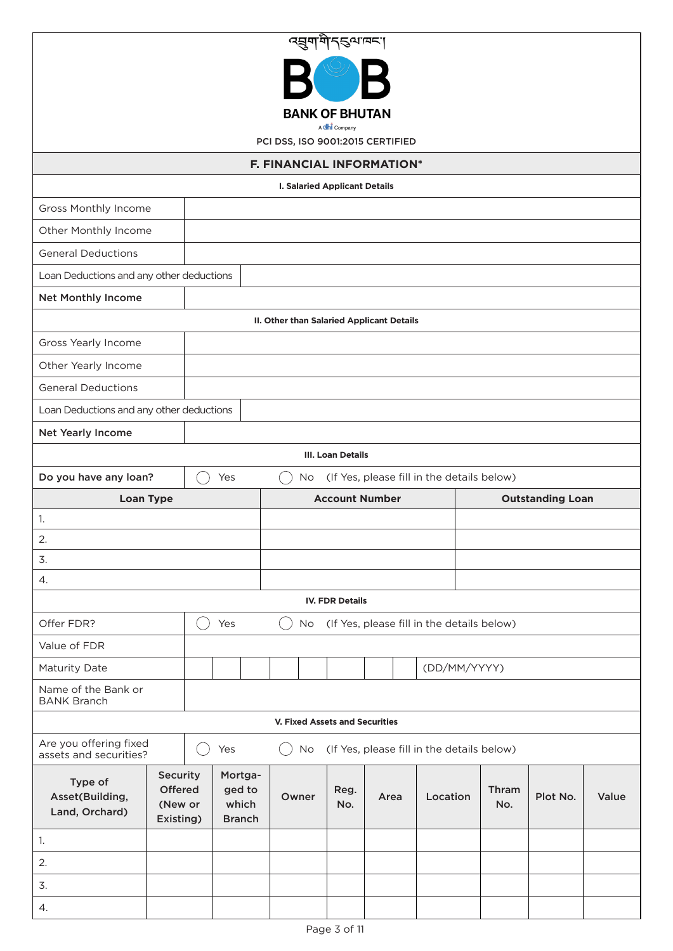| व्ह्युणयोन्डयावन्                                                    |                                             |  |                                             |           |                                      |                                           |                                            |              |          |       |  |
|----------------------------------------------------------------------|---------------------------------------------|--|---------------------------------------------|-----------|--------------------------------------|-------------------------------------------|--------------------------------------------|--------------|----------|-------|--|
|                                                                      |                                             |  |                                             |           |                                      |                                           |                                            |              |          |       |  |
| <b>BANK OF BHUTAN</b><br>A dhi Company                               |                                             |  |                                             |           |                                      |                                           |                                            |              |          |       |  |
| PCI DSS, ISO 9001:2015 CERTIFIED                                     |                                             |  |                                             |           |                                      |                                           |                                            |              |          |       |  |
| F. FINANCIAL INFORMATION*                                            |                                             |  |                                             |           |                                      |                                           |                                            |              |          |       |  |
|                                                                      |                                             |  |                                             |           | <b>I. Salaried Applicant Details</b> |                                           |                                            |              |          |       |  |
| Gross Monthly Income                                                 |                                             |  |                                             |           |                                      |                                           |                                            |              |          |       |  |
| Other Monthly Income                                                 |                                             |  |                                             |           |                                      |                                           |                                            |              |          |       |  |
| <b>General Deductions</b>                                            |                                             |  |                                             |           |                                      |                                           |                                            |              |          |       |  |
| Loan Deductions and any other deductions                             |                                             |  |                                             |           |                                      |                                           |                                            |              |          |       |  |
| <b>Net Monthly Income</b>                                            |                                             |  |                                             |           |                                      |                                           |                                            |              |          |       |  |
|                                                                      |                                             |  |                                             |           |                                      | II. Other than Salaried Applicant Details |                                            |              |          |       |  |
| Gross Yearly Income                                                  |                                             |  |                                             |           |                                      |                                           |                                            |              |          |       |  |
| Other Yearly Income                                                  |                                             |  |                                             |           |                                      |                                           |                                            |              |          |       |  |
| <b>General Deductions</b>                                            |                                             |  |                                             |           |                                      |                                           |                                            |              |          |       |  |
| Loan Deductions and any other deductions                             |                                             |  |                                             |           |                                      |                                           |                                            |              |          |       |  |
| Net Yearly Income                                                    |                                             |  |                                             |           |                                      |                                           |                                            |              |          |       |  |
|                                                                      |                                             |  |                                             |           | <b>III. Loan Details</b>             |                                           |                                            |              |          |       |  |
| Do you have any loan?                                                |                                             |  | Yes                                         | No        |                                      |                                           | (If Yes, please fill in the details below) |              |          |       |  |
| <b>Account Number</b><br><b>Outstanding Loan</b><br><b>Loan Type</b> |                                             |  |                                             |           |                                      |                                           |                                            |              |          |       |  |
|                                                                      | 1.                                          |  |                                             |           |                                      |                                           |                                            |              |          |       |  |
|                                                                      |                                             |  |                                             |           |                                      |                                           |                                            |              |          |       |  |
| 2.                                                                   |                                             |  |                                             |           |                                      |                                           |                                            |              |          |       |  |
| 3.                                                                   |                                             |  |                                             |           |                                      |                                           |                                            |              |          |       |  |
| $\overline{4}$ .                                                     |                                             |  |                                             |           |                                      |                                           |                                            |              |          |       |  |
|                                                                      |                                             |  |                                             |           | <b>IV. FDR Details</b>               |                                           |                                            |              |          |       |  |
| Offer FDR?                                                           |                                             |  | Yes                                         | No.       |                                      |                                           | (If Yes, please fill in the details below) |              |          |       |  |
| Value of FDR                                                         |                                             |  |                                             |           |                                      |                                           |                                            |              |          |       |  |
| Maturity Date                                                        |                                             |  |                                             |           |                                      |                                           | (DD/MM/YYYY)                               |              |          |       |  |
| Name of the Bank or<br><b>BANK Branch</b>                            |                                             |  |                                             |           |                                      |                                           |                                            |              |          |       |  |
|                                                                      |                                             |  |                                             |           | V. Fixed Assets and Securities       |                                           |                                            |              |          |       |  |
| Are you offering fixed<br>assets and securities?                     |                                             |  | Yes                                         | <b>No</b> |                                      |                                           | (If Yes, please fill in the details below) |              |          |       |  |
| Type of<br>Asset(Building,<br>Land, Orchard)                         | Security<br>Offered<br>(New or<br>Existing) |  | Mortga-<br>ged to<br>which<br><b>Branch</b> | Owner     | Reg.<br>No.                          | Area                                      | Location                                   | Thram<br>No. | Plot No. | Value |  |
| 1.                                                                   |                                             |  |                                             |           |                                      |                                           |                                            |              |          |       |  |
| 2.                                                                   |                                             |  |                                             |           |                                      |                                           |                                            |              |          |       |  |
| 3.                                                                   |                                             |  |                                             |           |                                      |                                           |                                            |              |          |       |  |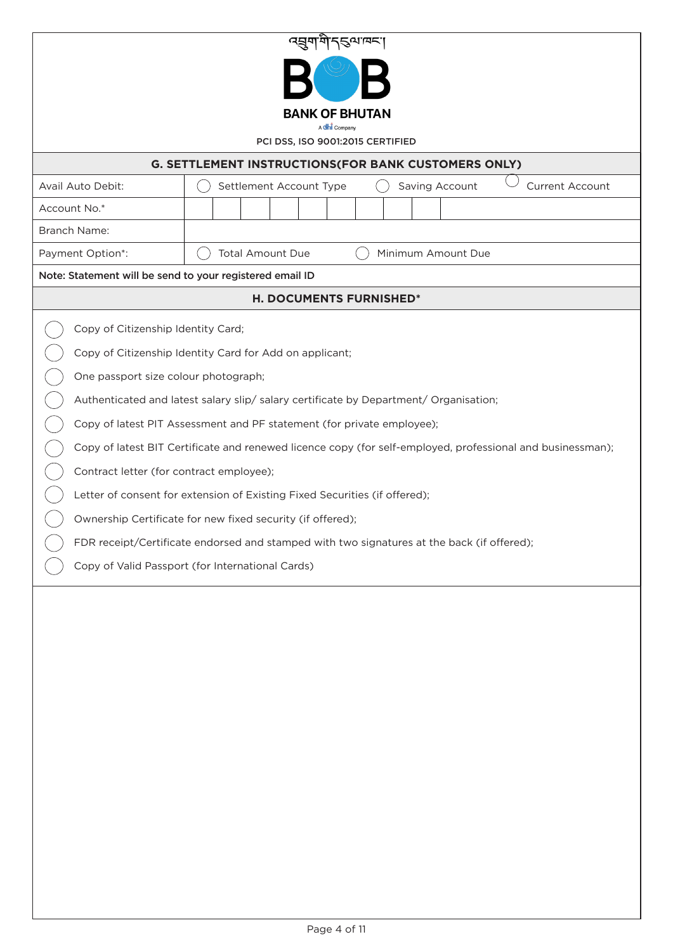| त्सुगमें दुष्पावद्य                                                                      |                                                                                                            |  |  |  |  |  |  |  |  |  |  |
|------------------------------------------------------------------------------------------|------------------------------------------------------------------------------------------------------------|--|--|--|--|--|--|--|--|--|--|
|                                                                                          |                                                                                                            |  |  |  |  |  |  |  |  |  |  |
| <b>BANK OF BHUTAN</b>                                                                    |                                                                                                            |  |  |  |  |  |  |  |  |  |  |
| A <b>dhi</b> Company<br>PCI DSS, ISO 9001:2015 CERTIFIED                                 |                                                                                                            |  |  |  |  |  |  |  |  |  |  |
| <b>G. SETTLEMENT INSTRUCTIONS(FOR BANK CUSTOMERS ONLY)</b>                               |                                                                                                            |  |  |  |  |  |  |  |  |  |  |
| Avail Auto Debit:<br>Settlement Account Type<br>Saving Account<br><b>Current Account</b> |                                                                                                            |  |  |  |  |  |  |  |  |  |  |
| Account No.*                                                                             |                                                                                                            |  |  |  |  |  |  |  |  |  |  |
| <b>Branch Name:</b>                                                                      |                                                                                                            |  |  |  |  |  |  |  |  |  |  |
| Payment Option*:                                                                         | <b>Total Amount Due</b><br>Minimum Amount Due                                                              |  |  |  |  |  |  |  |  |  |  |
| Note: Statement will be send to your registered email ID                                 |                                                                                                            |  |  |  |  |  |  |  |  |  |  |
|                                                                                          | H. DOCUMENTS FURNISHED*                                                                                    |  |  |  |  |  |  |  |  |  |  |
| Copy of Citizenship Identity Card;                                                       |                                                                                                            |  |  |  |  |  |  |  |  |  |  |
|                                                                                          | Copy of Citizenship Identity Card for Add on applicant;                                                    |  |  |  |  |  |  |  |  |  |  |
| One passport size colour photograph;                                                     |                                                                                                            |  |  |  |  |  |  |  |  |  |  |
|                                                                                          | Authenticated and latest salary slip/ salary certificate by Department/ Organisation;                      |  |  |  |  |  |  |  |  |  |  |
|                                                                                          | Copy of latest PIT Assessment and PF statement (for private employee);                                     |  |  |  |  |  |  |  |  |  |  |
|                                                                                          | Copy of latest BIT Certificate and renewed licence copy (for self-employed, professional and businessman); |  |  |  |  |  |  |  |  |  |  |
| Contract letter (for contract employee);                                                 |                                                                                                            |  |  |  |  |  |  |  |  |  |  |
|                                                                                          | Letter of consent for extension of Existing Fixed Securities (if offered);                                 |  |  |  |  |  |  |  |  |  |  |
|                                                                                          | Ownership Certificate for new fixed security (if offered);                                                 |  |  |  |  |  |  |  |  |  |  |
|                                                                                          | FDR receipt/Certificate endorsed and stamped with two signatures at the back (if offered);                 |  |  |  |  |  |  |  |  |  |  |
|                                                                                          | Copy of Valid Passport (for International Cards)                                                           |  |  |  |  |  |  |  |  |  |  |
|                                                                                          |                                                                                                            |  |  |  |  |  |  |  |  |  |  |
|                                                                                          |                                                                                                            |  |  |  |  |  |  |  |  |  |  |
|                                                                                          |                                                                                                            |  |  |  |  |  |  |  |  |  |  |
|                                                                                          |                                                                                                            |  |  |  |  |  |  |  |  |  |  |
|                                                                                          |                                                                                                            |  |  |  |  |  |  |  |  |  |  |
|                                                                                          |                                                                                                            |  |  |  |  |  |  |  |  |  |  |
|                                                                                          |                                                                                                            |  |  |  |  |  |  |  |  |  |  |
|                                                                                          |                                                                                                            |  |  |  |  |  |  |  |  |  |  |
|                                                                                          |                                                                                                            |  |  |  |  |  |  |  |  |  |  |
|                                                                                          |                                                                                                            |  |  |  |  |  |  |  |  |  |  |
|                                                                                          |                                                                                                            |  |  |  |  |  |  |  |  |  |  |
|                                                                                          |                                                                                                            |  |  |  |  |  |  |  |  |  |  |
|                                                                                          |                                                                                                            |  |  |  |  |  |  |  |  |  |  |
|                                                                                          |                                                                                                            |  |  |  |  |  |  |  |  |  |  |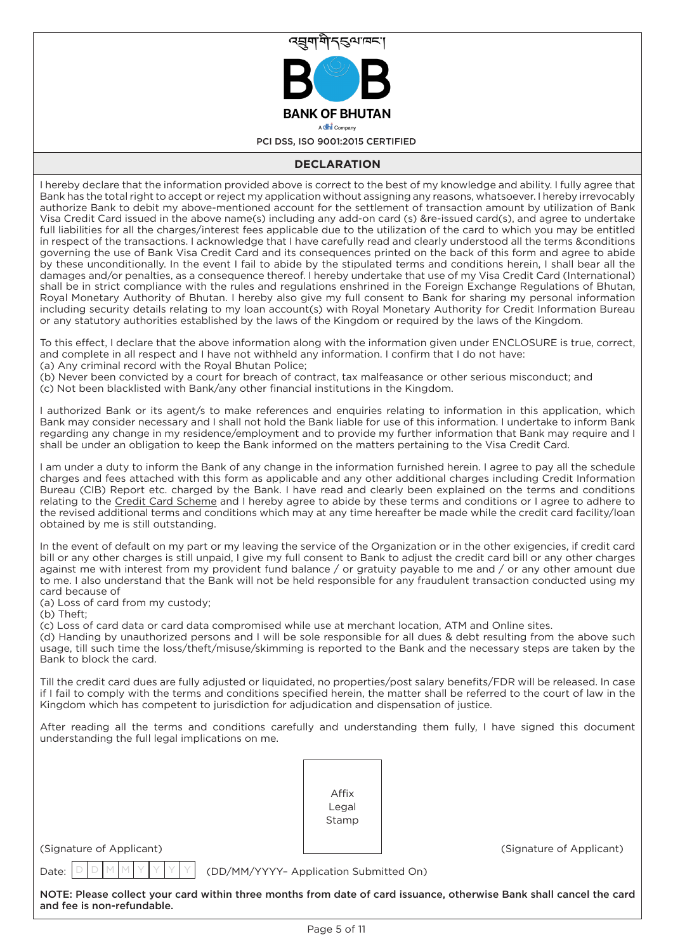

# **DECLARATION**

I hereby declare that the information provided above is correct to the best of my knowledge and ability. I fully agree that Bank has the total right to accept or reject my application without assigning any reasons, whatsoever. I hereby irrevocably authorize Bank to debit my above-mentioned account for the settlement of transaction amount by utilization of Bank Visa Credit Card issued in the above name(s) including any add-on card (s) &re-issued card(s), and agree to undertake full liabilities for all the charges/interest fees applicable due to the utilization of the card to which you may be entitled in respect of the transactions. I acknowledge that I have carefully read and clearly understood all the terms &conditions governing the use of Bank Visa Credit Card and its consequences printed on the back of this form and agree to abide by these unconditionally. In the event I fail to abide by the stipulated terms and conditions herein, I shall bear all the damages and/or penalties, as a consequence thereof. I hereby undertake that use of my Visa Credit Card (International) shall be in strict compliance with the rules and regulations enshrined in the Foreign Exchange Regulations of Bhutan, Royal Monetary Authority of Bhutan. I hereby also give my full consent to Bank for sharing my personal information including security details relating to my loan account(s) with Royal Monetary Authority for Credit Information Bureau or any statutory authorities established by the laws of the Kingdom or required by the laws of the Kingdom.

To this effect, I declare that the above information along with the information given under ENCLOSURE is true, correct, and complete in all respect and I have not withheld any information. I confirm that I do not have:

(a) Any criminal record with the Royal Bhutan Police;

(b) Never been convicted by a court for breach of contract, tax malfeasance or other serious misconduct; and (c) Not been blacklisted with Bank/any other financial institutions in the Kingdom.

I authorized Bank or its agent/s to make references and enquiries relating to information in this application, which Bank may consider necessary and I shall not hold the Bank liable for use of this information. I undertake to inform Bank regarding any change in my residence/employment and to provide my further information that Bank may require and I shall be under an obligation to keep the Bank informed on the matters pertaining to the Visa Credit Card.

I am under a duty to inform the Bank of any change in the information furnished herein. I agree to pay all the schedule charges and fees attached with this form as applicable and any other additional charges including Credit Information Bureau (CIB) Report etc. charged by the Bank. I have read and clearly been explained on the terms and conditions relating to the Credit Card Scheme and I hereby agree to abide by these terms and conditions or I agree to adhere to the revised additional terms and conditions which may at any time hereafter be made while the credit card facility/loan obtained by me is still outstanding.

In the event of default on my part or my leaving the service of the Organization or in the other exigencies, if credit card bill or any other charges is still unpaid, I give my full consent to Bank to adjust the credit card bill or any other charges against me with interest from my provident fund balance / or gratuity payable to me and / or any other amount due to me. I also understand that the Bank will not be held responsible for any fraudulent transaction conducted using my card because of

(a) Loss of card from my custody;

(b) Theft;

(c) Loss of card data or card data compromised while use at merchant location, ATM and Online sites.

(d) Handing by unauthorized persons and I will be sole responsible for all dues & debt resulting from the above such usage, till such time the loss/theft/misuse/skimming is reported to the Bank and the necessary steps are taken by the Bank to block the card.

Till the credit card dues are fully adjusted or liquidated, no properties/post salary benefits/FDR will be released. In case if I fail to comply with the terms and conditions specified herein, the matter shall be referred to the court of law in the Kingdom which has competent to jurisdiction for adjudication and dispensation of justice.

After reading all the terms and conditions carefully and understanding them fully, I have signed this document understanding the full legal implications on me.

| Affix |  |
|-------|--|
| Legal |  |
| Stamp |  |
|       |  |

(Signature of Applicant) (Signature of Applicant)

D D M M Y Y Y Y

Date:  $|D|D|M|M|Y|Y|Y|Y|$  (DD/MM/YYYY– Application Submitted On)

NOTE: Please collect your card within three months from date of card issuance, otherwise Bank shall cancel the card and fee is non-refundable.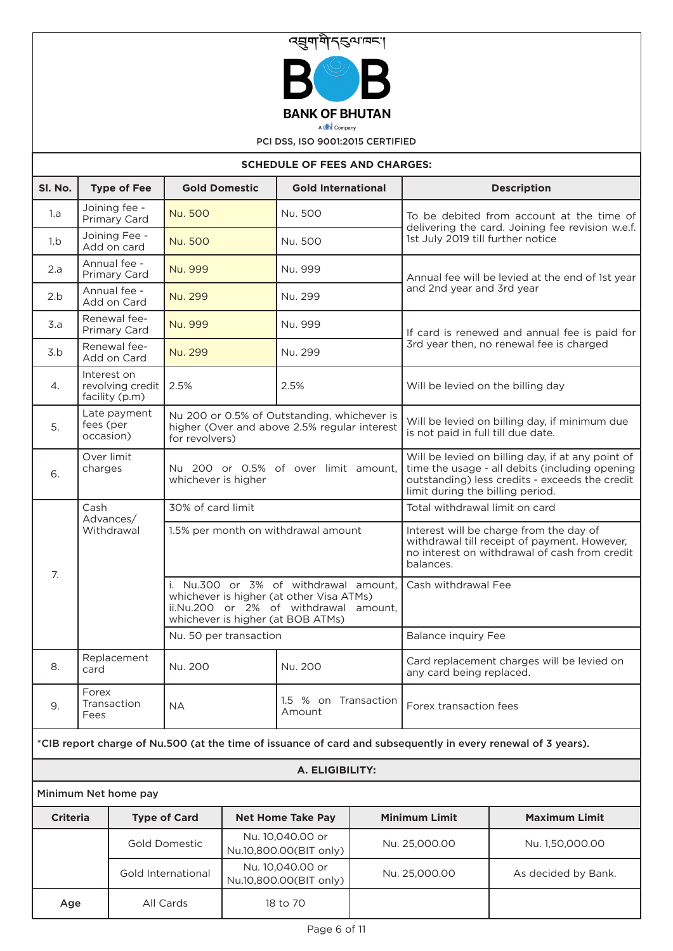

A **dhi** Company

PCI DSS, ISO 9001:2015 CERTIFIED

| <b>SCHEDULE OF FEES AND CHARGES:</b> |                                                                  |                                                                                                                                                                 |  |                                            |                                                                        |                                                                                                                                                                                           |                                                                                                              |  |  |  |  |
|--------------------------------------|------------------------------------------------------------------|-----------------------------------------------------------------------------------------------------------------------------------------------------------------|--|--------------------------------------------|------------------------------------------------------------------------|-------------------------------------------------------------------------------------------------------------------------------------------------------------------------------------------|--------------------------------------------------------------------------------------------------------------|--|--|--|--|
| SI. No.                              | <b>Type of Fee</b>                                               | <b>Gold Domestic</b>                                                                                                                                            |  | <b>Gold International</b>                  |                                                                        |                                                                                                                                                                                           | <b>Description</b>                                                                                           |  |  |  |  |
| 1.a                                  | Joining fee -<br>Primary Card                                    | Nu. 500                                                                                                                                                         |  | Nu. 500                                    |                                                                        |                                                                                                                                                                                           | To be debited from account at the time of                                                                    |  |  |  |  |
| 1.b                                  | Joining Fee -<br>Add on card                                     | Nu. 500                                                                                                                                                         |  | Nu. 500                                    |                                                                        | delivering the card. Joining fee revision w.e.f.<br>1st July 2019 till further notice                                                                                                     |                                                                                                              |  |  |  |  |
| 2.a                                  | Annual fee -<br>Primary Card                                     | Nu. 999                                                                                                                                                         |  | Nu. 999                                    |                                                                        | Annual fee will be levied at the end of 1st year                                                                                                                                          |                                                                                                              |  |  |  |  |
| 2.b                                  | Annual fee -<br>Add on Card                                      | Nu. 299<br>Nu. 299                                                                                                                                              |  |                                            |                                                                        | and 2nd year and 3rd year                                                                                                                                                                 |                                                                                                              |  |  |  |  |
| 3.a                                  | Renewal fee-<br>Primary Card                                     | Nu. 999                                                                                                                                                         |  | Nu. 999                                    |                                                                        | If card is renewed and annual fee is paid for                                                                                                                                             |                                                                                                              |  |  |  |  |
| 3.b                                  | Renewal fee-<br>Add on Card                                      | Nu. 299                                                                                                                                                         |  | Nu. 299                                    |                                                                        |                                                                                                                                                                                           | 3rd year then, no renewal fee is charged                                                                     |  |  |  |  |
| 4.                                   | Interest on<br>revolving credit<br>facility (p.m)                | 2.5%                                                                                                                                                            |  | 2.5%                                       |                                                                        | Will be levied on the billing day                                                                                                                                                         |                                                                                                              |  |  |  |  |
| 5.                                   | Late payment<br>fees (per<br>occasion)                           | Nu 200 or 0.5% of Outstanding, whichever is<br>higher (Over and above 2.5% regular interest<br>for revolvers)                                                   |  |                                            |                                                                        | is not paid in full till due date.                                                                                                                                                        | Will be levied on billing day, if minimum due                                                                |  |  |  |  |
| 6.                                   | Over limit<br>charges                                            | Nu 200 or 0.5% of over limit amount,<br>whichever is higher                                                                                                     |  |                                            |                                                                        | Will be levied on billing day, if at any point of<br>time the usage - all debits (including opening<br>outstanding) less credits - exceeds the credit<br>limit during the billing period. |                                                                                                              |  |  |  |  |
|                                      | Cash<br>Advances/                                                | 30% of card limit                                                                                                                                               |  |                                            |                                                                        | Total withdrawal limit on card                                                                                                                                                            |                                                                                                              |  |  |  |  |
| 7.                                   | Withdrawal                                                       | 1.5% per month on withdrawal amount                                                                                                                             |  |                                            |                                                                        | Interest will be charge from the day of<br>withdrawal till receipt of payment. However,<br>no interest on withdrawal of cash from credit<br>balances.<br>Cash withdrawal Fee              |                                                                                                              |  |  |  |  |
|                                      |                                                                  | i. Nu.300 or 3% of withdrawal amount,<br>whichever is higher (at other Visa ATMs)<br>ii.Nu.200 or 2% of withdrawal amount,<br>whichever is higher (at BOB ATMs) |  |                                            |                                                                        |                                                                                                                                                                                           |                                                                                                              |  |  |  |  |
|                                      |                                                                  | Nu. 50 per transaction                                                                                                                                          |  |                                            |                                                                        | <b>Balance inquiry Fee</b>                                                                                                                                                                |                                                                                                              |  |  |  |  |
| 8.                                   | Replacement<br>card                                              | Nu. 200                                                                                                                                                         |  | Nu. 200                                    | Card replacement charges will be levied on<br>any card being replaced. |                                                                                                                                                                                           |                                                                                                              |  |  |  |  |
| 9.                                   | Forex<br>Transaction<br>Fees                                     | <b>NA</b>                                                                                                                                                       |  | 1.5 % on Transaction<br>Amount             |                                                                        | Forex transaction fees                                                                                                                                                                    |                                                                                                              |  |  |  |  |
|                                      |                                                                  |                                                                                                                                                                 |  |                                            |                                                                        |                                                                                                                                                                                           | *CIB report charge of Nu.500 (at the time of issuance of card and subsequently in every renewal of 3 years). |  |  |  |  |
| A. ELIGIBILITY:                      |                                                                  |                                                                                                                                                                 |  |                                            |                                                                        |                                                                                                                                                                                           |                                                                                                              |  |  |  |  |
|                                      | Minimum Net home pay                                             |                                                                                                                                                                 |  |                                            |                                                                        |                                                                                                                                                                                           |                                                                                                              |  |  |  |  |
| <b>Criteria</b>                      |                                                                  | <b>Type of Card</b>                                                                                                                                             |  | <b>Net Home Take Pay</b>                   |                                                                        | <b>Minimum Limit</b>                                                                                                                                                                      | <b>Maximum Limit</b>                                                                                         |  |  |  |  |
|                                      |                                                                  | <b>Gold Domestic</b>                                                                                                                                            |  | Nu. 10,040.00 or<br>Nu.10,800.00(BIT only) |                                                                        | Nu. 25,000.00                                                                                                                                                                             | Nu. 1,50,000.00                                                                                              |  |  |  |  |
|                                      | Nu. 10,040.00 or<br>Gold International<br>Nu.10,800.00(BIT only) |                                                                                                                                                                 |  | Nu. 25,000.00<br>As decided by Bank.       |                                                                        |                                                                                                                                                                                           |                                                                                                              |  |  |  |  |

Age | All Cards | 18 to 70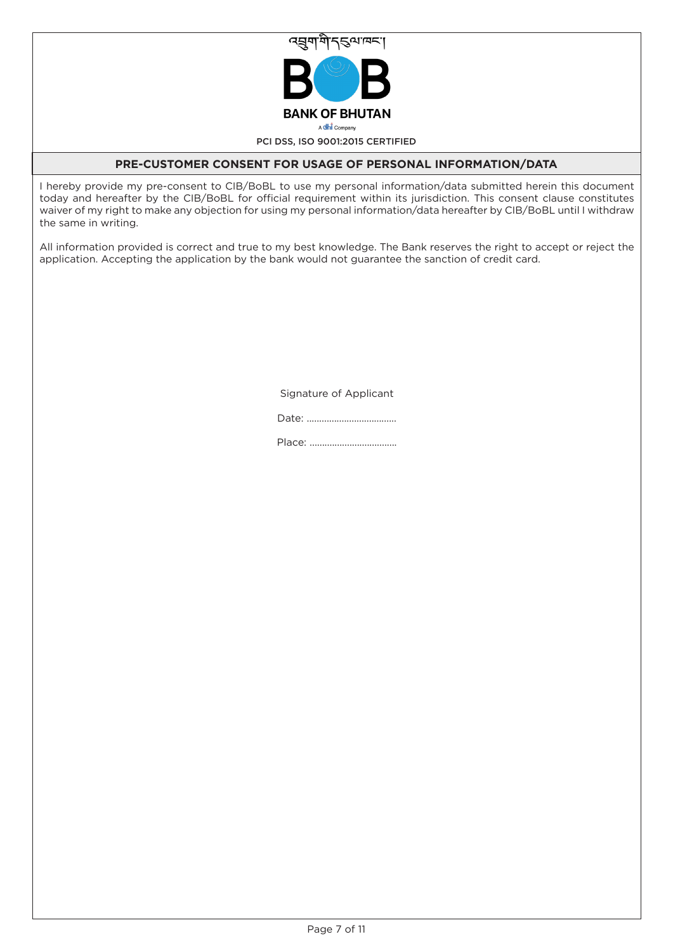

# **PRE-CUSTOMER CONSENT FOR USAGE OF PERSONAL INFORMATION/DATA**

I hereby provide my pre-consent to CIB/BoBL to use my personal information/data submitted herein this document today and hereafter by the CIB/BoBL for official requirement within its jurisdiction. This consent clause constitutes waiver of my right to make any objection for using my personal information/data hereafter by CIB/BoBL until I withdraw the same in writing.

All information provided is correct and true to my best knowledge. The Bank reserves the right to accept or reject the application. Accepting the application by the bank would not guarantee the sanction of credit card.

Signature of Applicant

Date: ....................................

Place: ...................................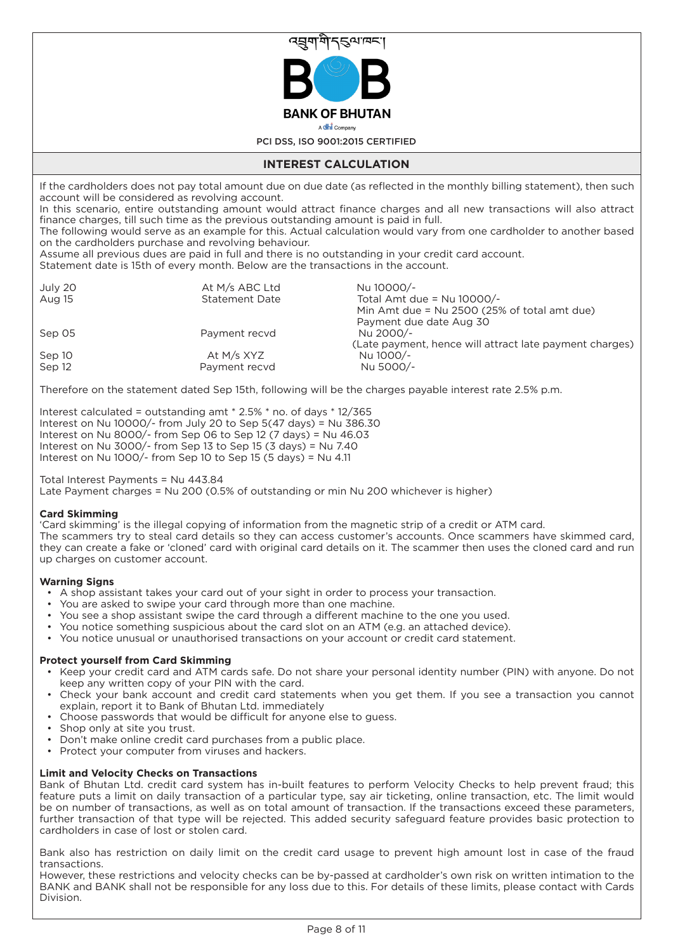

# **INTEREST CALCULATION**

If the cardholders does not pay total amount due on due date (as reflected in the monthly billing statement), then such account will be considered as revolving account.

In this scenario, entire outstanding amount would attract finance charges and all new transactions will also attract finance charges, till such time as the previous outstanding amount is paid in full.

The following would serve as an example for this. Actual calculation would vary from one cardholder to another based on the cardholders purchase and revolving behaviour.

Assume all previous dues are paid in full and there is no outstanding in your credit card account.

Statement date is 15th of every month. Below are the transactions in the account.

| July 20<br>Aug 15 | At M/s ABC Ltd<br><b>Statement Date</b> | Nu 10000/-<br>Total Amt due = $Nu$ 10000/-<br>Min Amt due = $Nu$ 2500 (25% of total amt due) |
|-------------------|-----------------------------------------|----------------------------------------------------------------------------------------------|
|                   |                                         | Payment due date Aug 30                                                                      |
| Sep 05            | Payment recyd                           | Nu 2000/-<br>(Late payment, hence will attract late payment charges)                         |
| Sep 10            | At $M/s$ XYZ                            | Nu 1000/-                                                                                    |
| Sep 12            | Payment recvd                           | Nu 5000/-                                                                                    |

Therefore on the statement dated Sep 15th, following will be the charges payable interest rate 2.5% p.m.

Interest calculated = outstanding amt \* 2.5% \* no. of days \* 12/365 Interest on Nu 10000/- from July 20 to Sep 5(47 days) = Nu 386.30 Interest on Nu 8000/- from Sep 06 to Sep 12 (7 days) = Nu 46.03 Interest on Nu 3000/- from Sep 13 to Sep 15 (3 days) = Nu 7.40 Interest on Nu 1000/- from Sep 10 to Sep 15 (5 days) = Nu 4.11

# Total Interest Payments = Nu 443.84

Late Payment charges = Nu 200 (0.5% of outstanding or min Nu 200 whichever is higher)

# **Card Skimming**

'Card skimming' is the illegal copying of information from the magnetic strip of a credit or ATM card. The scammers try to steal card details so they can access customer's accounts. Once scammers have skimmed card, they can create a fake or 'cloned' card with original card details on it. The scammer then uses the cloned card and run up charges on customer account.

## **Warning Signs**

- A shop assistant takes your card out of your sight in order to process your transaction.
- You are asked to swipe your card through more than one machine.
- You see a shop assistant swipe the card through a different machine to the one you used.
- You notice something suspicious about the card slot on an ATM (e.g. an attached device).
- You notice unusual or unauthorised transactions on your account or credit card statement.

# **Protect yourself from Card Skimming**

- Keep your credit card and ATM cards safe. Do not share your personal identity number (PIN) with anyone. Do not keep any written copy of your PIN with the card.
- Check your bank account and credit card statements when you get them. If you see a transaction you cannot explain, report it to Bank of Bhutan Ltd. immediately
- Choose passwords that would be difficult for anyone else to guess.
- Shop only at site you trust.
- Don't make online credit card purchases from a public place.
- Protect your computer from viruses and hackers.

# **Limit and Velocity Checks on Transactions**

Bank of Bhutan Ltd. credit card system has in-built features to perform Velocity Checks to help prevent fraud; this feature puts a limit on daily transaction of a particular type, say air ticketing, online transaction, etc. The limit would be on number of transactions, as well as on total amount of transaction. If the transactions exceed these parameters, further transaction of that type will be rejected. This added security safeguard feature provides basic protection to cardholders in case of lost or stolen card.

Bank also has restriction on daily limit on the credit card usage to prevent high amount lost in case of the fraud transactions.

However, these restrictions and velocity checks can be by-passed at cardholder's own risk on written intimation to the BANK and BANK shall not be responsible for any loss due to this. For details of these limits, please contact with Cards Division.

Page 8 of 11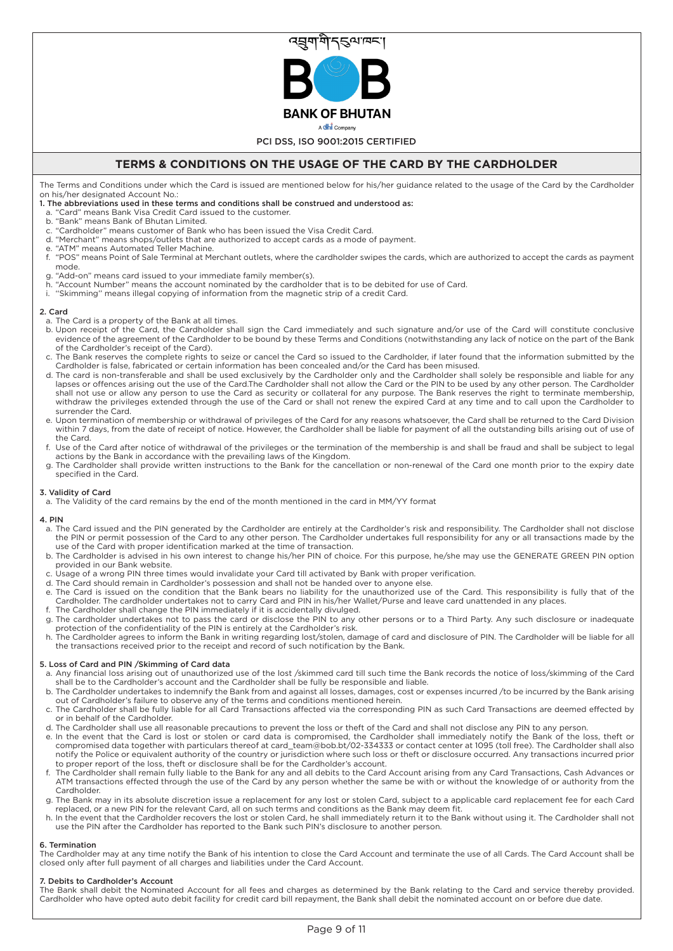

# **TERMS & CONDITIONS ON THE USAGE OF THE CARD BY THE CARDHOLDER**

The Terms and Conditions under which the Card is issued are mentioned below for his/her guidance related to the usage of the Card by the Cardholder on his/her designated Account No.:

### 1. The abbreviations used in these terms and conditions shall be construed and understood as:

- a. "Card" means Bank Visa Credit Card issued to the customer.
- b. "Bank" means Bank of Bhutan Limited.
- "Cardholder" means customer of Bank who has been issued the Visa Credit Card.
- d. "Merchant" means shops/outlets that are authorized to accept cards as a mode of payment.
- e. "ATM" means Automated Teller Machine.
- f. "POS" means Point of Sale Terminal at Merchant outlets, where the cardholder swipes the cards, which are authorized to accept the cards as payment mode.
- g. "Add-on" means card issued to your immediate family member(s).
- h. "Account Number" means the account nominated by the cardholder that is to be debited for use of Card.
- i. ''Skimming'' means illegal copying of information from the magnetic strip of a credit Card.

#### 2. Card

- a. The Card is a property of the Bank at all times.
- b. Upon receipt of the Card, the Cardholder shall sign the Card immediately and such signature and/or use of the Card will constitute conclusive evidence of the agreement of the Cardholder to be bound by these Terms and Conditions (notwithstanding any lack of notice on the part of the Bank of the Cardholder's receipt of the Card).
- c. The Bank reserves the complete rights to seize or cancel the Card so issued to the Cardholder, if later found that the information submitted by the Cardholder is false, fabricated or certain information has been concealed and/or the Card has been misused.
- d. The card is non-transferable and shall be used exclusively by the Cardholder only and the Cardholder shall solely be responsible and liable for any lapses or offences arising out the use of the Card.The Cardholder shall not allow the Card or the PIN to be used by any other person. The Cardholder shall not use or allow any person to use the Card as security or collateral for any purpose. The Bank reserves the right to terminate membership, withdraw the privileges extended through the use of the Card or shall not renew the expired Card at any time and to call upon the Cardholder to surrender the Card.
- e. Upon termination of membership or withdrawal of privileges of the Card for any reasons whatsoever, the Card shall be returned to the Card Division within 7 days, from the date of receipt of notice. However, the Cardholder shall be liable for payment of all the outstanding bills arising out of use of the Card.
- f. Use of the Card after notice of withdrawal of the privileges or the termination of the membership is and shall be fraud and shall be subject to legal actions by the Bank in accordance with the prevailing laws of the Kingdom.
- g. The Cardholder shall provide written instructions to the Bank for the cancellation or non-renewal of the Card one month prior to the expiry date specified in the Card.

#### 3. Validity of Card

a. The Validity of the card remains by the end of the month mentioned in the card in MM/YY format

#### 4. PIN

- a. The Card issued and the PIN generated by the Cardholder are entirely at the Cardholder's risk and responsibility. The Cardholder shall not disclose the PIN or permit possession of the Card to any other person. The Cardholder undertakes full responsibility for any or all transactions made by the use of the Card with proper identification marked at the time of transaction.
- b. The Cardholder is advised in his own interest to change his/her PIN of choice. For this purpose, he/she may use the GENERATE GREEN PIN option provided in our Bank website.
- c. Usage of a wrong PIN three times would invalidate your Card till activated by Bank with proper verification.
- d. The Card should remain in Cardholder's possession and shall not be handed over to anyone else. e. The Card is issued on the condition that the Bank bears no liability for the unauthorized use of the Card. This responsibility is fully that of the Cardholder. The cardholder undertakes not to carry Card and PIN in his/her Wallet/Purse and leave card unattended in any places.
- f. The Cardholder shall change the PIN immediately if it is accidentally divulged. g. The cardholder undertakes not to pass the card or disclose the PIN to any other persons or to a Third Party. Any such disclosure or inadequate protection of the confidentiality of the PIN is entirely at the Cardholder's risk.
- h. The Cardholder agrees to inform the Bank in writing regarding lost/stolen, damage of card and disclosure of PIN. The Cardholder will be liable for all the transactions received prior to the receipt and record of such notification by the Bank.

### 5. Loss of Card and PIN /Skimming of Card data

- a. Any financial loss arising out of unauthorized use of the lost /skimmed card till such time the Bank records the notice of loss/skimming of the Card shall be to the Cardholder's account and the Cardholder shall be fully be responsible and liable.
- b. The Cardholder undertakes to indemnify the Bank from and against all losses, damages, cost or expenses incurred /to be incurred by the Bank arising out of Cardholder's failure to observe any of the terms and conditions mentioned herein. c. The Cardholder shall be fully liable for all Card Transactions affected via the corresponding PIN as such Card Transactions are deemed effected by
- or in behalf of the Cardholder.
- d. The Cardholder shall use all reasonable precautions to prevent the loss or theft of the Card and shall not disclose any PIN to any person.
- e. In the event that the Card is lost or stolen or card data is compromised, the Cardholder shall immediately notify the Bank of the loss, theft or compromised data together with particulars thereof at card\_team@bob.bt/02-334333 or contact center at 1095 (toll free). The Cardholder shall also notify the Police or equivalent authority of the country or jurisdiction where such loss or theft or disclosure occurred. Any transactions incurred prior to proper report of the loss, theft or disclosure shall be for the Cardholder's account.
- f. The Cardholder shall remain fully liable to the Bank for any and all debits to the Card Account arising from any Card Transactions, Cash Advances or ATM transactions effected through the use of the Card by any person whether the same be with or without the knowledge of or authority from the **Cardholder**
- g. The Bank may in its absolute discretion issue a replacement for any lost or stolen Card, subject to a applicable card replacement fee for each Card replaced, or a new PIN for the relevant Card, all on such terms and conditions as the Bank may deem fit.
- h. In the event that the Cardholder recovers the lost or stolen Card, he shall immediately return it to the Bank without using it. The Cardholder shall not use the PIN after the Cardholder has reported to the Bank such PIN's disclosure to another person.

#### 6. Termination

The Cardholder may at any time notify the Bank of his intention to close the Card Account and terminate the use of all Cards. The Card Account shall be closed only after full payment of all charges and liabilities under the Card Account.

#### 7. Debits to Cardholder's Account

The Bank shall debit the Nominated Account for all fees and charges as determined by the Bank relating to the Card and service thereby provided. Cardholder who have opted auto debit facility for credit card bill repayment, the Bank shall debit the nominated account on or before due date.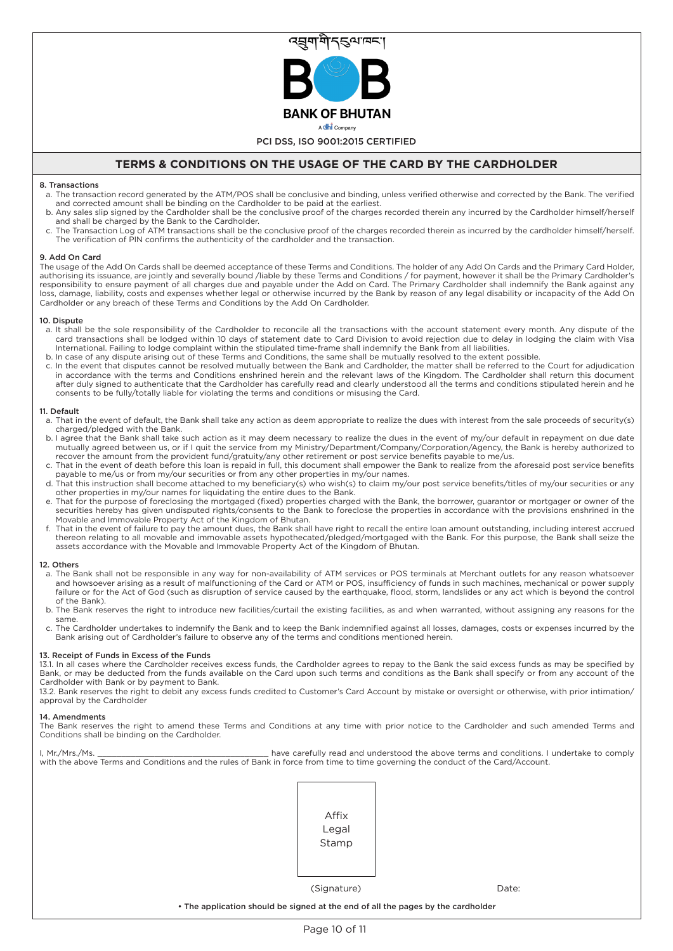

# **TERMS & CONDITIONS ON THE USAGE OF THE CARD BY THE CARDHOLDER**

#### 8. Transactions

- a. The transaction record generated by the ATM/POS shall be conclusive and binding, unless verified otherwise and corrected by the Bank. The verified and corrected amount shall be binding on the Cardholder to be paid at the earliest.
- b. Any sales slip signed by the Cardholder shall be the conclusive proof of the charges recorded therein any incurred by the Cardholder himself/herself and shall be charged by the Bank to the Cardholder.
- c. The Transaction Log of ATM transactions shall be the conclusive proof of the charges recorded therein as incurred by the cardholder himself/herself. The verification of PIN confirms the authenticity of the cardholder and the transaction.

#### 9. Add On Card

The usage of the Add On Cards shall be deemed acceptance of these Terms and Conditions. The holder of any Add On Cards and the Primary Card Holder, authorising its issuance, are jointly and severally bound /liable by these Terms and Conditions / for payment, however it shall be the Primary Cardholder's responsibility to ensure payment of all charges due and payable under the Add on Card. The Primary Cardholder shall indemnify the Bank against any loss, damage, liability, costs and expenses whether legal or otherwise incurred by the Bank by reason of any legal disability or incapacity of the Add On Cardholder or any breach of these Terms and Conditions by the Add On Cardholder.

#### 10. Dispute

- a. It shall be the sole responsibility of the Cardholder to reconcile all the transactions with the account statement every month. Any dispute of the card transactions shall be lodged within 10 days of statement date to Card Division to avoid rejection due to delay in lodging the claim with Visa International. Failing to lodge complaint within the stipulated time-frame shall indemnify the Bank from all liabilities.
- b. In case of any dispute arising out of these Terms and Conditions, the same shall be mutually resolved to the extent possible.
- c. In the event that disputes cannot be resolved mutually between the Bank and Cardholder, the matter shall be referred to the Court for adjudication in accordance with the terms and Conditions enshrined herein and the relevant laws of the Kingdom. The Cardholder shall return this document after duly signed to authenticate that the Cardholder has carefully read and clearly understood all the terms and conditions stipulated herein and he consents to be fully/totally liable for violating the terms and conditions or misusing the Card.

#### 11. Default

- a. That in the event of default, the Bank shall take any action as deem appropriate to realize the dues with interest from the sale proceeds of security(s) charged/pledged with the Bank.
- b. I agree that the Bank shall take such action as it may deem necessary to realize the dues in the event of my/our default in repayment on due date mutually agreed between us, or if I quit the service from my Ministry/Department/Company/Corporation/Agency, the Bank is hereby authorized to recover the amount from the provident fund/gratuity/any other retirement or post service benefits payable to me/us.
- c. That in the event of death before this loan is repaid in full, this document shall empower the Bank to realize from the aforesaid post service benefits payable to me/us or from my/our securities or from any other properties in my/our names.
- d. That this instruction shall become attached to my beneficiary(s) who wish(s) to claim my/our post service benefits/titles of my/our securities or any other properties in my/our names for liquidating the entire dues to the Bank.
- e. That for the purpose of foreclosing the mortgaged (fixed) properties charged with the Bank, the borrower, guarantor or mortgager or owner of the securities hereby has given undisputed rights/consents to the Bank to foreclose the properties in accordance with the provisions enshrined in the Movable and Immovable Property Act of the Kingdom of Bhutan.
- f. That in the event of failure to pay the amount dues, the Bank shall have right to recall the entire loan amount outstanding, including interest accrued thereon relating to all movable and immovable assets hypothecated/pledged/mortgaged with the Bank. For this purpose, the Bank shall seize the assets accordance with the Movable and Immovable Property Act of the Kingdom of Bhutan.

#### 12. Others

- a. The Bank shall not be responsible in any way for non-availability of ATM services or POS terminals at Merchant outlets for any reason whatsoever and howsoever arising as a result of malfunctioning of the Card or ATM or POS, insufficiency of funds in such machines, mechanical or power supply failure or for the Act of God (such as disruption of service caused by the earthquake, flood, storm, landslides or any act which is beyond the control of the Bank).
- b. The Bank reserves the right to introduce new facilities/curtail the existing facilities, as and when warranted, without assigning any reasons for the same.
- c. The Cardholder undertakes to indemnify the Bank and to keep the Bank indemnified against all losses, damages, costs or expenses incurred by the Bank arising out of Cardholder's failure to observe any of the terms and conditions mentioned herein.

#### 13. Receipt of Funds in Excess of the Funds

13.1. In all cases where the Cardholder receives excess funds, the Cardholder agrees to repay to the Bank the said excess funds as may be specified by Bank, or may be deducted from the funds available on the Card upon such terms and conditions as the Bank shall specify or from any account of the Cardholder with Bank or by payment to Bank.

13.2. Bank reserves the right to debit any excess funds credited to Customer's Card Account by mistake or oversight or otherwise, with prior intimation/ approval by the Cardholder

#### 14. Amendments

The Bank reserves the right to amend these Terms and Conditions at any time with prior notice to the Cardholder and such amended Terms and Conditions shall be binding on the Cardholder.

I, Mr./Mrs./Ms. \_\_\_\_\_\_\_\_\_\_\_\_\_\_\_\_\_\_\_\_\_\_\_\_\_\_\_\_\_\_\_\_\_\_\_\_ have carefully read and understood the above terms and conditions. I undertake to comply with the above Terms and Conditions and the rules of Bank in force from time to time governing the conduct of the Card/Account.



(Signature) Date:

• The application should be signed at the end of all the pages by the cardholder